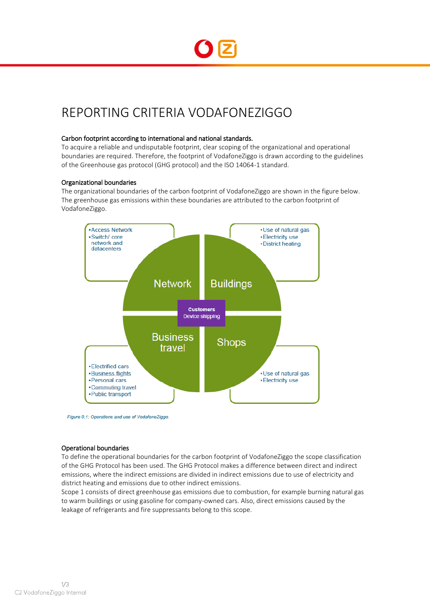

# REPORTING CRITERIA VODAFONEZIGGO

# Carbon footprint according to international and national standards.

To acquire a reliable and undisputable footprint, clear scoping of the organizational and operational boundaries are required. Therefore, the footprint of VodafoneZiggo is drawn according to the guidelines of the Greenhouse gas protocol (GHG protocol) and the ISO 14064-1 standard.

#### Organizational boundaries

The organizational boundaries of the carbon footprint of VodafoneZiggo are shown in the figure below. The greenhouse gas emissions within these boundaries are attributed to the carbon footprint of VodafoneZiggo.



Figure 0.1: Operations and use of VodafoneZiggo.

#### Operational boundaries

To define the operational boundaries for the carbon footprint of VodafoneZiggo the scope classification of the GHG Protocol has been used. The GHG Protocol makes a difference between direct and indirect emissions, where the indirect emissions are divided in indirect emissions due to use of electricity and district heating and emissions due to other indirect emissions.

Scope 1 consists of direct greenhouse gas emissions due to combustion, for example burning natural gas to warm buildings or using gasoline for company-owned cars. Also, direct emissions caused by the leakage of refrigerants and fire suppressants belong to this scope.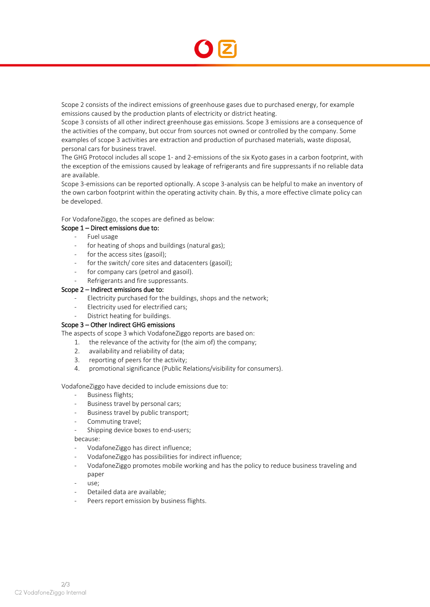

Scope 2 consists of the indirect emissions of greenhouse gases due to purchased energy, for example emissions caused by the production plants of electricity or district heating.

Scope 3 consists of all other indirect greenhouse gas emissions. Scope 3 emissions are a consequence of the activities of the company, but occur from sources not owned or controlled by the company. Some examples of scope 3 activities are extraction and production of purchased materials, waste disposal, personal cars for business travel.

The GHG Protocol includes all scope 1- and 2-emissions of the six Kyoto gases in a carbon footprint, with the exception of the emissions caused by leakage of refrigerants and fire suppressants if no reliable data are available.

Scope 3-emissions can be reported optionally. A scope 3-analysis can be helpful to make an inventory of the own carbon footprint within the operating activity chain. By this, a more effective climate policy can be developed.

For VodafoneZiggo, the scopes are defined as below:

# Scope 1 – Direct emissions due to:

- Fuel usage
- for heating of shops and buildings (natural gas);
- for the access sites (gasoil);
- for the switch/ core sites and datacenters (gasoil);
- for company cars (petrol and gasoil).
- Refrigerants and fire suppressants.

#### Scope 2 – Indirect emissions due to:

- Electricity purchased for the buildings, shops and the network;
- Electricity used for electrified cars;
- District heating for buildings.

# Scope 3 – Other Indirect GHG emissions

The aspects of scope 3 which VodafoneZiggo reports are based on:

- 1. the relevance of the activity for (the aim of) the company;
- 2. availability and reliability of data;
- 3. reporting of peers for the activity;
- 4. promotional significance (Public Relations/visibility for consumers).

VodafoneZiggo have decided to include emissions due to:

- Business flights;
- Business travel by personal cars;
- Business travel by public transport;
- Commuting travel;
- Shipping device boxes to end-users;

because:

- VodafoneZiggo has direct influence;
- VodafoneZiggo has possibilities for indirect influence;
- VodafoneZiggo promotes mobile working and has the policy to reduce business traveling and paper
- use;
- Detailed data are available;
- Peers report emission by business flights.